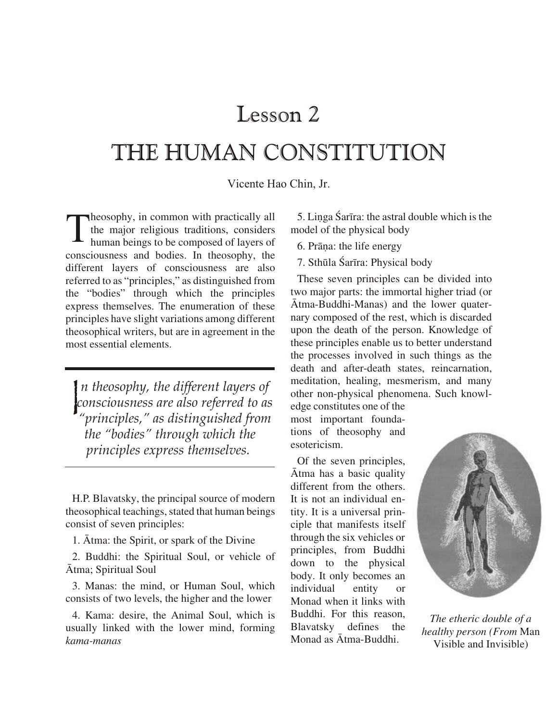## Lesson 2

## THE HUMAN CONSTITUTION

Vicente Hao Chin, Jr.

heosophy, in common with practically all the major religious traditions, considers human beings to be composed of layers of consciousness and bodies. In theosophy, the different layers of consciousness are also referred to as "principles," as distinguished from the "bodies" through which the principles express themselves. The enumeration of these principles have slight variations among different theosophical writers, but are in agreement in the most essential elements.

In theosophy, the different layers of consciousness are also referred to as "principles," as distinguished from the "bodies" through which the principles express themselves.

H.P. Blavatsky, the principal source of modern theosophical teachings, stated that human beings consist of seven principles:

1. Atma: the Spirit, or spark of the Divine

2. Buddhi: the Spiritual Soul, or vehicle of Atma; Spiritual Soul

3. Manas: the mind, or Human Soul, which consists of two levels, the higher and the lower

4. Kama: desire, the Animal Soul, which is usually linked with the lower mind, forming kama-manas

5. Linga Śarīra: the astral double which is the model of the physical body

6. Prāņa: the life energy

7. Sthūla Śarīra: Physical body

These seven principles can be divided into two major parts: the immortal higher triad (or Atma-Buddhi-Manas) and the lower quaternary composed of the rest, which is discarded upon the death of the person. Knowledge of these principles enable us to better understand the processes involved in such things as the death and after-death states, reincarnation, meditation, healing, mesmerism, and many other non-physical phenomena. Such knowl-

edge constitutes one of the most important foundations of theosophy and esotericism.

Of the seven principles, Atma has a basic quality different from the others. It is not an individual entity. It is a universal principle that manifests itself through the six vehicles or principles, from Buddhi down to the physical body. It only becomes an individual entity  $\alpha$ Monad when it links with Buddhi. For this reason. Blavatsky defines the Monad as Atma-Buddhi.



The etheric double of a healthy person (From Man Visible and Invisible)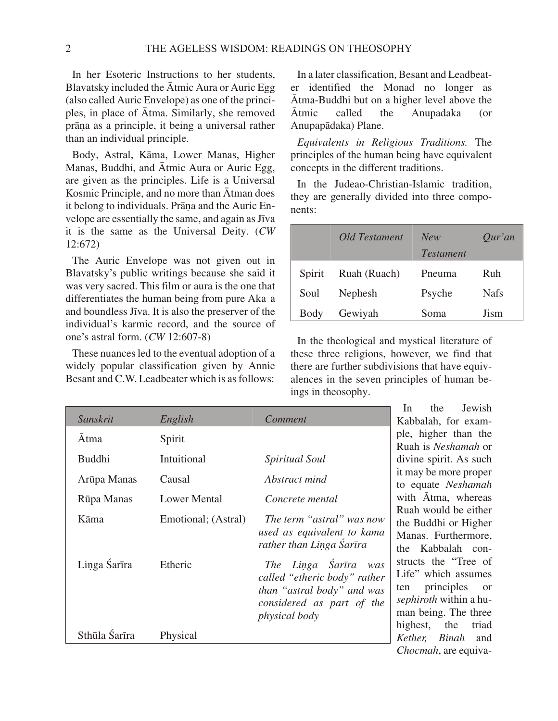In her Esoteric Instructions to her students, Blavatsky included the  $\bar{A}$ tmic Aura or Auric Egg (also called Auric Envelope) as one of the principles, in place of Ātma. Similarly, she removed prāņa as a principle, it being a universal rather than an individual principle.

Body, Astral, Kāma, Lower Manas, Higher Manas, Buddhi, and Ātmic Aura or Auric Egg, are given as the principles. Life is a Universal Kosmic Principle, and no more than Atman does it belong to individuals. Prāņa and the Auric Envelope are essentially the same, and again as Jīva it is the same as the Universal Deity. (*CW* 12:672)

The Auric Envelope was not given out in Blavatsky's public writings because she said it was very sacred. This film or aura is the one that differentiates the human being from pure Aka a and boundless Jīva. It is also the preserver of the individual's karmic record, and the source of one's as tral form. (*CW* 12:607-8)

These nuances led to the eventual adoption of a widely popular classification given by Annie Besant and C.W. Lead beater which is as follows:

In a later classification, Besant and Leadbeater identified the Monad no longer as Ātma-Buddhi but on a higher level above the  $\bar{A}$ tmic called the Anupadaka (or Anupap€daka) Plane.

Equivalents in Religious Traditions. The principles of the human being have equivalent concepts in the different traditions.

In the Judeao-Christian-Islamic tradition, they are generally divided into three components:

|        | Old Testament | <b>New</b>       | $Qur'$ an   |
|--------|---------------|------------------|-------------|
|        |               | <b>Testament</b> |             |
| Spirit | Ruah (Ruach)  | Pneuma           | Ruh         |
| Soul   | Nephesh       | Psyche           | <b>Nafs</b> |
| Body   | Gewiyah       | Soma             | Jism        |

In the theological and mystical literature of these three religions, however, we find that there are further subdivisions that have equivalences in the seven principles of human beings in the osophy.

|               |                     |                                                                                                                                            | Jewish<br>the<br>In.                                                                                                                                      |
|---------------|---------------------|--------------------------------------------------------------------------------------------------------------------------------------------|-----------------------------------------------------------------------------------------------------------------------------------------------------------|
| Sanskrit      | English             | Comment                                                                                                                                    | Kabbalah, for exam-                                                                                                                                       |
| Atma          | Spirit              |                                                                                                                                            | ple, higher than the                                                                                                                                      |
|               |                     |                                                                                                                                            | Ruah is Neshamah or                                                                                                                                       |
| <b>Buddhi</b> | Intuitional         | Spiritual Soul                                                                                                                             | divine spirit. As such                                                                                                                                    |
| Arūpa Manas   | Causal              | Abstract mind                                                                                                                              | it may be more proper<br>to equate Neshamah                                                                                                               |
| Rūpa Manas    | <b>Lower Mental</b> | Concrete mental                                                                                                                            | with Atma, whereas                                                                                                                                        |
| Kāma          | Emotional; (Astral) | The term "astral" was now<br>used as equivalent to kama<br>rather than Linga Śarīra                                                        | Ruah would be either<br>the Buddhi or Higher<br>Manas. Furthermore,<br>the Kabbalah con-                                                                  |
| Linga Śarīra  | Etheric             | The Linga Śarīra<br>was<br>called "etheric body" rather<br>than "astral body" and was<br>considered as part of the<br><i>physical body</i> | structs the "Tree of<br>Life" which assumes<br>principles<br><sub>or</sub><br>ten<br>sephiroth within a hu-<br>man being. The three<br>highest, the triad |
| Sthūla Śarīra | Physical            |                                                                                                                                            | <i>Kether</i> , <i>Binah</i> and                                                                                                                          |
|               |                     |                                                                                                                                            | Chocmah, are equiva-                                                                                                                                      |